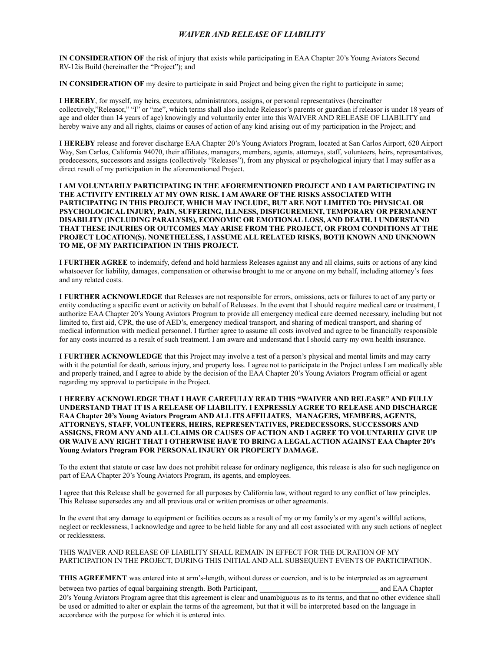# **WAIVER AND RELEASE OF LIABILITY**

IN CONSIDERATION OF the risk of injury that exists while participating in EAA Chapter 20's Young Aviators Second RV-12is Build (hereinafter the "Project"); and

IN CONSIDERATION OF my desire to participate in said Project and being given the right to participate in same;

I HEREBY, for myself, my heirs, executors, administrators, assigns, or personal representatives (hereinafter collectively,"Releasor," "I" or "me", which terms shall also include Releasor's parents or guardian if releasor is under 18 years of age and older than 14 years of age) knowingly and voluntarily enter into this WAIVER AND RELEASE OF LIABILITY and hereby waive any and all rights, claims or causes of action of any kind arising out of my participation in the Project; and

I HEREBY release and forever discharge EAA Chapter 20's Young Aviators Program, located at San Carlos Airport, 620 Airport Way, San Carlos, California 94070, their affiliates, managers, members, agents, attorneys, staff, volunteers, heirs, representatives, predecessors, successors and assigns (collectively "Releases"), from any physical or psychological injury that I may suffer as a direct result of my participation in the aforementioned Project.

I AM VOLUNTARILY PARTICIPATING IN THE AFOREMENTIONED PROJECT AND I AM PARTICIPATING IN THE ACTIVITY ENTIRELY AT MY OWN RISK. I AM AWARE OF THE RISKS ASSOCIATED WITH PARTICIPATING IN THIS PROJECT, WHICH MAY INCLUDE, BUT ARE NOT LIMITED TO: PHYSICAL OR PSYCHOLOGICAL INJURY, PAIN, SUFFERING, ILLNESS, DISFIGUREMENT, TEMPORARY OR PERMANENT DISABILITY (INCLUDING PARALYSIS), ECONOMIC OR EMOTIONAL LOSS, AND DEATH. I UNDERSTAND THAT THESE INJURIES OR OUTCOMES MAY ARISE FROM THE PROJECT, OR FROM CONDITIONS AT THE PROJECT LOCATION(S). NONETHELESS, I ASSUME ALL RELATED RISKS, BOTH KNOWN AND UNKNOWN TO ME, OF MY PARTICIPATION IN THIS PROJECT.

I FURTHER AGREE to indemnify, defend and hold harmless Releases against any and all claims, suits or actions of any kind whatsoever for liability, damages, compensation or otherwise brought to me or anyone on my behalf, including attorney's fees and any related costs.

I FURTHER ACKNOWLEDGE that Releases are not responsible for errors, omissions, acts or failures to act of any party or entity conducting a specific event or activity on behalf of Releases. In the event that I should require medical care or treatment, I authorize EAA Chapter 20's Young Aviators Program to provide all emergency medical care deemed necessary, including but not limited to, first aid, CPR, the use of AED's, emergency medical transport, and sharing of medical transport, and sharing of medical information with medical personnel. I further agree to assume all costs involved and agree to be financially responsible for any costs incurred as a result of such treatment. I am aware and understand that I should carry my own health insurance.

**I FURTHER ACKNOWLEDGE** that this Project may involve a test of a person's physical and mental limits and may carry with it the potential for death, serious injury, and property loss. I agree not to participate in the Project unless I am medically able and properly trained, and I agree to abide by the decision of the EAA Chapter 20's Young Aviators Program official or agent regarding my approval to participate in the Project.

I HEREBY ACKNOWLEDGE THAT I HAVE CAREFULLY READ THIS "WAIVER AND RELEASE" AND FULLY UNDERSTAND THAT IT IS A RELEASE OF LIABILITY. I EXPRESSLY AGREE TO RELEASE AND DISCHARGE EAA Chapter 20's Young Aviators Program AND ALL ITS AFFILIATES, MANAGERS, MEMBERS, AGENTS, ATTORNEYS, STAFF, VOLUNTEERS, HEIRS, REPRESENTATIVES, PREDECESSORS, SUCCESSORS AND ASSIGNS, FROM ANY AND ALL CLAIMS OR CAUSES OF ACTION AND I AGREE TO VOLUNTARILY GIVE UP OR WAIVE ANY RIGHT THAT I OTHERWISE HAVE TO BRING A LEGAL ACTION AGAINST EAA Chapter 20's Young Aviators Program FOR PERSONAL INJURY OR PROPERTY DAMAGE.

To the extent that statute or case law does not prohibit release for ordinary negligence, this release is also for such negligence on part of EAA Chapter 20's Young Aviators Program, its agents, and employees.

I agree that this Release shall be governed for all purposes by California law, without regard to any conflict of law principles. This Release supersedes any and all previous oral or written promises or other agreements.

In the event that any damage to equipment or facilities occurs as a result of my or my family's or my agent's willful actions. neglect or recklessness, I acknowledge and agree to be held liable for any and all cost associated with any such actions of neglect or recklessness.

THIS WAIVER AND RELEASE OF LIABILITY SHALL REMAIN IN EFFECT FOR THE DURATION OF MY PARTICIPATION IN THE PROJECT, DURING THIS INITIAL AND ALL SUBSEQUENT EVENTS OF PARTICIPATION.

**THIS AGREEMENT** was entered into at arm's-length, without duress or coercion, and is to be interpreted as an agreement between two parties of equal bargaining strength. Both Participant, and EAA Chapter 20's Young Aviators Program agree that this agreement is clear and unambiguous as to its terms, and that no other evidence shall be used or admitted to alter or explain the terms of the agreement, but that it will be interpreted based on the language in accordance with the purpose for which it is entered into.